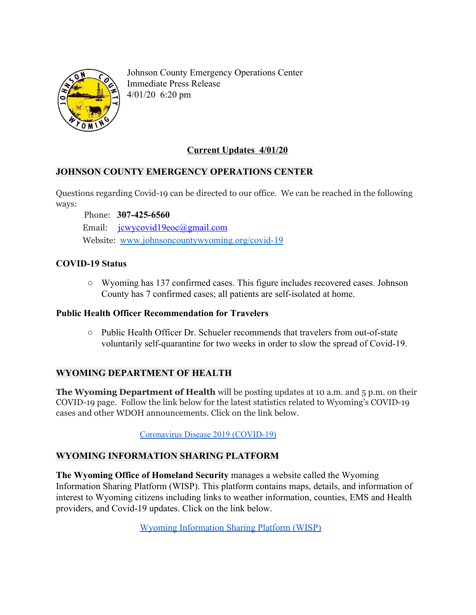

Johnson County Emergency Operations Center Immediate Press Release 4/01/20 6:20 pm

## **Current Updates 4/01/20**

## **JOHNSON COUNTY EMERGENCY OPERATIONS CENTER**

Questions regarding Covid-19 can be directed to our office. We can be reached in the following ways:

Phone: **307-425-6560**

Email: [jcwycovid19eoc@gmail.com](mailto:jcwycovid19eoc@gmail.com)

Website: [www.johnsoncountywyoming.org/covid-19](http://www.johnsoncountywyoming.org/covid-19)

## **COVID-19 Status**

**○** Wyoming has 137 confirmed cases. This figure includes recovered cases. Johnson County has 7 confirmed cases; all patients are self-isolated at home.

## **Public Health Officer Recommendation for Travelers**

**○** Public Health Officer Dr. Schueler recommends that travelers from out-of-state voluntarily self-quarantine for two weeks in order to slow the spread of Covid-19.

## **WYOMING DEPARTMENT OF HEALTH**

**The Wyoming Department of Health** will be posting updates at 10 a.m. and 5 p.m. on their COVID-19 page. Follow the link below for the latest statistics related to Wyoming's COVID-19 cases and other WDOH announcements. Click on the link below.

Coronavirus Disease 2019 [\(COVID-19\)](https://health.wyo.gov/publichealth/infectious-disease-epidemiology-unit/disease/novel-coronavirus/)

## **WYOMING INFORMATION SHARING PLATFORM**

**The Wyoming Office of Homeland Security** manages a website called the Wyoming Information Sharing Platform (WISP). This platform contains maps, details, and information of interest to Wyoming citizens including links to weather information, counties, EMS and Health providers, and Covid-19 updates. Click on the link below.

[Wyoming Information Sharing Platform \(WISP\)](https://www.arcgis.com/apps/MapSeries/index.html?appid=42fd398fa8f449fb930f2d3755c5a1bb)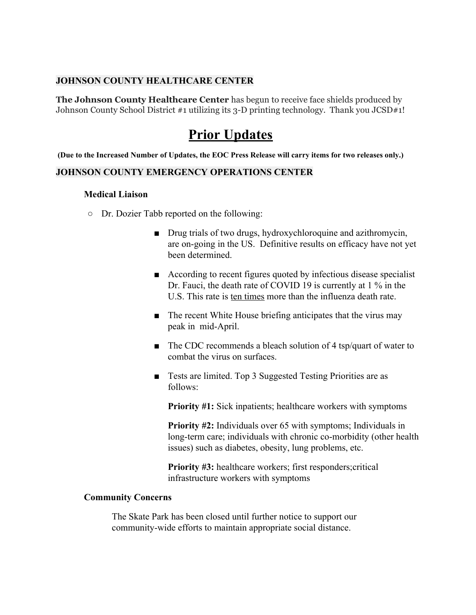### **JOHNSON COUNTY HEALTHCARE CENTER**

**The Johnson County Healthcare Center** has begun to receive face shields produced by Johnson County School District #1 utilizing its 3-D printing technology. Thank you JCSD#1!

# **Prior Updates**

(Due to the Increased Number of Updates, the EOC Press Release will carry items for two releases only.)

### **JOHNSON COUNTY EMERGENCY OPERATIONS CENTER**

### **Medical Liaison**

- **○** Dr. Dozier Tabb reported on the following:
	- Drug trials of two drugs, hydroxychloroquine and azithromycin, are on-going in the US. Definitive results on efficacy have not yet been determined.
	- According to recent figures quoted by infectious disease specialist Dr. Fauci, the death rate of COVID 19 is currently at 1 % in the U.S. This rate is ten times more than the influenza death rate.
	- The recent White House briefing anticipates that the virus may peak in mid-April.
	- The CDC recommends a bleach solution of 4 tsp/quart of water to combat the virus on surfaces.
	- Tests are limited. Top 3 Suggested Testing Priorities are as follows:

**Priority #1:** Sick inpatients; healthcare workers with symptoms

**Priority #2:** Individuals over 65 with symptoms; Individuals in long-term care; individuals with chronic co-morbidity (other health issues) such as diabetes, obesity, lung problems, etc.

**Priority #3:** healthcare workers; first responders;critical infrastructure workers with symptoms

### **Community Concerns**

The Skate Park has been closed until further notice to support our community-wide efforts to maintain appropriate social distance.